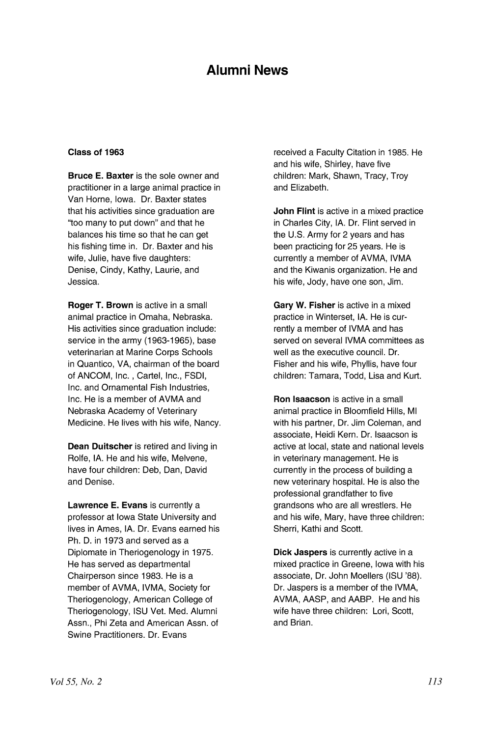# Alumni News

#### Class of 1963

Bruce E. Baxter is the sole owner and practitioner in a large animal practice in Van Horne, Iowa. Dr. Baxter states that his activities since graduation are "too many to put down" and that he balances his time so that he can get his fishing time in. Dr. Baxter and his wife, Julie, have five daughters: Denise, Cindy, Kathy, Laurie, and Jessica.

Roger T. Brown is active in a small animal practice in Omaha, Nebraska. His activities since graduation include: service in the army (1963-1965), base veterinarian at Marine Corps Schools in Quantico, VA, chairman of the board of ANCOM, Inc. , Cartel, Inc., FSDI, Inc. and Ornamental Fish Industries, Inc. He is a member of AVMA and Nebraska Academy of Veterinary Medicine. He lives with his wife, Nancy.

Dean Duitscher is retired and living in Rolfe, IA. He and his wife, Melvene, have four children: Deb, Dan, David and Denise.

Lawrence E. Evans is currently a professor at Iowa State University and lives in Ames, IA. Dr. Evans earned his Ph. D. in 1973 and served as a Diplomate in Theriogenology in 1975. He has served as departmental Chairperson since 1983. He is a member of AVMA, IVMA, Society for Theriogenology, American College of Theriogenology, ISU Vet. Med. Alumni Assn., Phi Zeta and American Assn. of Swine Practitioners. Dr. Evans

received a Faculty Citation in 1985. He and his wife, Shirley, have five children: Mark, Shawn, Tracy, Troy and Elizabeth.

John Flint is active in a mixed practice in Charles City, IA. Dr. Flint served in the U.S. Army for 2 years and has been practicing for 25 years. He is currently a member of AVMA, IVMA and the Kiwanis organization. He and his wife, Jody, have one son, Jim.

Gary W. Fisher is active in a mixed practice in Winterset, IA. He is currently a member of IVMA and has served on several IVMA committees as well as the executive council. Dr. Fisher and his wife, Phyllis, have four children: Tamara, Todd, Lisa and Kurt.

Ron Isaacson is active in a small animal practice in Bloomfield Hills, MI with his partner, Dr. Jim Coleman, and associate, Heidi Kern. Dr. Isaacson is active at local, state and national levels in veterinary management. He is currently in the process of building a new veterinary hospital. He is also the professional grandfather to five grandsons who are all wrestlers. He and his wife, Mary, have three children: Sherri, Kathi and Scott.

Dick Jaspers is currently active in a mixed practice in Greene, Iowa with his associate, Dr. John Moellers (ISU '88). Dr. Jaspers is a member of the IVMA, AVMA, AASP, and AABP. He and his wife have three children: Lori, Scott, and Brian.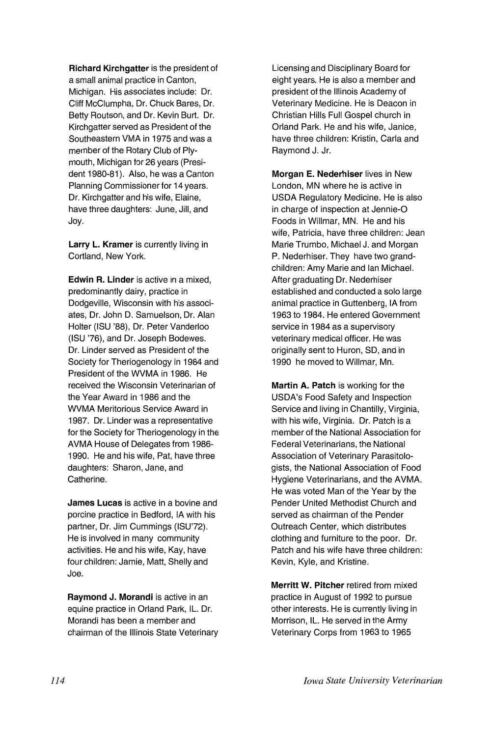Richard Kirchgatter is the president of a small animal practice in Canton, Michigan. His associates include: Dr. Cliff McClumpha, Dr. Chuck Bares, Dr. Betty Routson, and Dr. Kevin Burt. Dr. Kirchgatter served as President of the Southeastern VMA in 1975 and was a member of the Rotary Club of Plymouth, Michigan for 26 years (President 1980-81). Also, he was a Canton Planning Commissioner for 14 years. Dr. Kirchgatter and his wife, Elaine, have three daughters: June, Jill, and Joy.

Larry L. Kramer is currently living in Cortland, New York.

Edwin R. Linder is active in a mixed. predominantly dairy, practice in Dodgeville, Wisconsin with his associates, Dr. John D. Samuelson, Dr. Alan Holter (ISU '88), Dr. Peter Vanderloo (ISU '76), and Dr. Joseph Bodewes. Dr. Linder served as President of the Society for Theriogenology in 1984 and President of the WVMA in 1986. He received the Wisconsin Veterinarian of the Year Award in 1986 and the WVMA Meritorious Service Award in 1987. Dr. Linder was a representative for the Society for Theriogenology in the AVMA House of Delegates from 1986-1990. He and his wife, Pat, have three daughters: Sharon, Jane, and Catherine.

James Lucas is active in a bovine and porcine practice in Bedford, IA with his partner, Dr. Jim Cummings (ISU'72). He is involved in many community activities. He and his wife, Kay, have four children: Jamie, Matt, Shelly and Joe.

Raymond J. Morandi is active in an equine practice in Orland Park, IL. Dr. Morandi has been a member and chairman of the Illinois State Veterinary Licensing and Disciplinary Board for eight years. He is also a member and president of the Illinois Academy of Veterinary Medicine. He is Deacon in Christian Hills Full Gospel church in Orland Park. He and his wife, Janice. have three children: Kristin, Carla and Raymond J. Jr.

Morgan E. Nederhiser lives in New London, MN where he is active in USDA Regulatory Medicine. He is also in charge of inspection at Jennie-O Foods in Willmar, MN. He and his wife, Patricia, have three children: Jean Marie Trumbo. Michael J. and Morgan P. Nederhiser. They have two grandchildren: Amy Marie and Ian Michael. After graduating Dr. Nederhiser established and conducted a solo large animal practice in Guttenberg, IA from 1963 to 1984. He entered Government service in 1984 as a supervisory veterinary medical officer. He was originally sent to Huron, SO, and in 1990 he moved to Willmar, Mn.

Martin A. Patch is working for the USDA's Food Safety and Inspection Service and living in Chantilly, Virginia, with his wife, Virginia. Dr. Patch is a member of the National Association for Federal Veterinarians, the National Association of Veterinary Parasitologists, the National Association of Food Hygiene Veterinarians, and the AVMA. He was voted Man of the Year by the Pender United Methodist Church and served as chairman of the Pender Outreach Center, which distributes clothing and furniture to the poor. Dr. Patch and his wife have three children: Kevin, Kyle, and Kristine.

Merritt W. Pitcher retired from mixed practice in August of 1992 to pursue other interests. He is currently living in Morrison, IL. He served in the Army Veterinary Corps from 1963 to 1965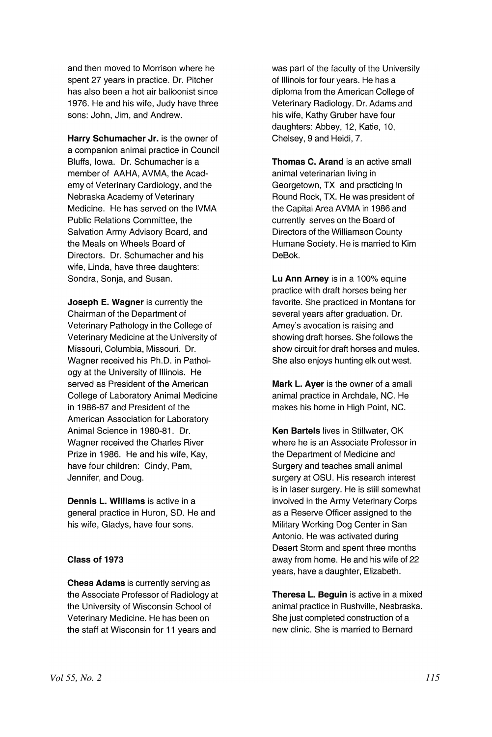and then moved to Morrison where he spent 27 years in practice. Dr. Pitcher has also been a hot air balloonist since 1976. He and his wife, Judy have three sons: John, Jim, and Andrew.

Harry Schumacher Jr. is the owner of a companion animal practice in Council Bluffs, Iowa. Dr. Schumacher is a member of AAHA, AVMA, the Academy of Veterinary Cardiology, and the Nebraska Academy of Veterinary Medicine. He has served on the IVMA Public Relations Committee, the Salvation Army Advisory Board, and the Meals on Wheels Board of Directors. Dr. Schumacher and his wife, Linda, have three daughters: Sondra, Sonja, and Susan.

Joseph E. Wagner is currently the Chairman of the Department of Veterinary Pathology in the College of Veterinary Medicine at the University of Missouri, Columbia, Missouri. Dr. Wagner received his Ph.D. in Pathology at the University of Illinois. He served as President of the American College of Laboratory Animal Medicine in 1986-87 and President of the American Association for Laboratory Animal Science in 1980-81. Dr. Wagner received the Charles River Prize in 1986. He and his wife, Kay, have four children: Cindy, Pam, Jennifer, and Doug.

Dennis L. Williams is active in a general practice in Huron, SO. He and his wife, Gladys, have four sons.

#### Class of 1973

Chess Adams is currently serving as the Associate Professor of Radiology at the University of Wisconsin School of Veterinary Medicine. He has been on the staff at Wisconsin for 11 years and

was part of the faculty of the University of Illinois for four years. He has a diploma from the American College of Veterinary Radiology. Dr. Adams and his wife, Kathy Gruber have four daughters: Abbey, 12, Katie, 10, Chelsey, 9 and Heidi, 7.

Thomas C. Arand is an active small animal veterinarian living in Georgetown, TX and practicing in Round Rock, TX. He was president of the Capital Area AVMA in 1986 and currently serves on the Board of Directors of the Williamson County Humane Society. He is married to Kim DeBok.

Lu Ann Arney is in a 100% equine practice with draft horses being her favorite. She practiced in Montana for several years after graduation. Dr. Arney's avocation is raising and showing draft horses. She follows the show circuit for draft horses and mules. She also enjoys hunting elk out west.

Mark L. Ayer is the owner of a small animal practice in Archdale, NC. He makes his home in High Point, NC.

Ken Bartels lives in Stillwater, OK where he is an Associate Professor in the Department of Medicine and Surgery and teaches small animal surgery at OSU. His research interest is in laser surgery. He is still somewhat involved in the Army Veterinary Corps as a Reserve Officer assigned to the Military Working Dog Center in San Antonio. He was activated during Desert Storm and spent three months away from home. He and his wife of 22 years, have a daughter, Elizabeth.

Theresa L. Beguin is active in a mixed animal practice in Rushville, Nesbraska. She just completed construction of a new clinic. She is married to Bernard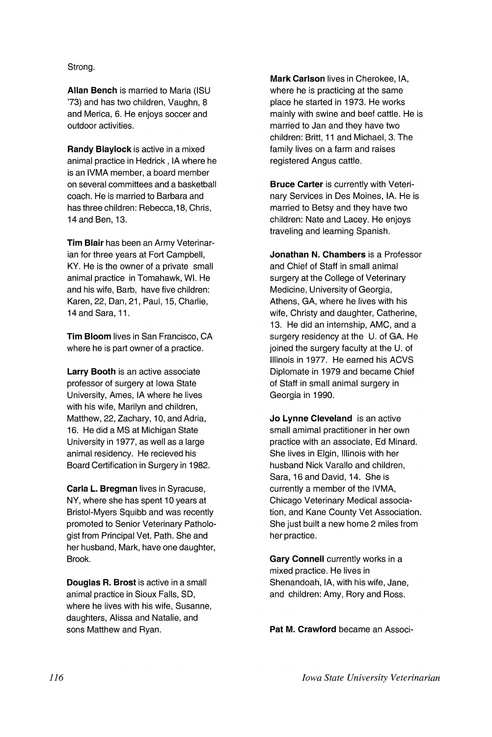### Strong.

Allan Bench is married to Marla (ISU '73) and has two children, Vaughn, 8 and Merica, 6. He enjoys soccer and outdoor activities.

Randy Blaylock is active in a mixed animal practice in Hedrick, IA where he is an IVMA member, a board member on several committees and a basketball coach. He is married to Barbara and has three children: Rebecca, 18, Chris, 14 and Ben, 13.

Tim Blair has been an Army Veterinarian for three years at Fort Campbell, KY. He is the owner of a private small animal practice in Tomahawk, WI. He and his wife, Barb, have five children: Karen, 22, Dan, 21 , Paul, 15, Charlie, 14 and Sara, 11.

Tim Bloom lives in San Francisco, CA where he is part owner of a practice.

Larry Booth is an active associate professor of surgery at Iowa State University, Ames, IA where he lives with his wife, Marilyn and children, Matthew, 22, Zachary, 10, and Adria, 16. He did a MS at Michigan State University in 1977, as well as a large animal residency. He recieved his Board Certification in Surgery in 1982.

Carla L. Bregman lives in Syracuse, NY, where she has spent 10 years at Bristol-Myers Squibb and was recently promoted to Senior Veterinary Pathologist from Principal Vet. Path. She and her husband, Mark, have one daughter, Brook.

Douglas R. Brost is active in a small animal practice in Sioux Falls, SO, where he lives with his wife, Susanne, daughters, Alissa and Natalie, and sons Matthew and Ryan.

Mark Carlson lives in Cherokee, lA, where he is practicing at the same place he started in 1973. He works mainly with swine and beef cattle. He is married to Jan and they have two children: Britt, 11 and Michael, 3. The family lives on a farm and raises registered Angus cattle.

Bruce Carter is currently with Veterinary Services in Des Moines, IA. He is married to Betsy and they have two children: Nate and Lacey. He enjoys traveling and learning Spanish.

Jonathan N. Chambers is a Professor and Chief of Staff in small animal surgery at the College of Veterinary Medicine, University of Georgia, Athens, GA, where he lives with his wife, Christy and daughter, Catherine, 13. He did an internship, AMC, and a surgery residency at the U. of GA. He joined the surgery faculty at the U. of Illinois in 1977. He earned his ACVS Diplomate in 1979 and became Chief of Staff in small animal surgery in Georgia in 1990.

Jo Lynne Cleveland is an active small amimal practitioner in her own practice with an associate, Ed Minard. She lives in Elgin, Illinois with her husband Nick Varallo and children, Sara, 16 and David, 14. She is currently a member of the IVMA, Chicago Veterinary Medical association, and Kane County Vet Association. She just built a new home 2 miles from her practice.

Gary Connell currently works in a mixed practice. He lives in Shenandoah, lA, with his wife, Jane, and children: Amy, Rory and Ross.

Pat M. Crawford became an Associ-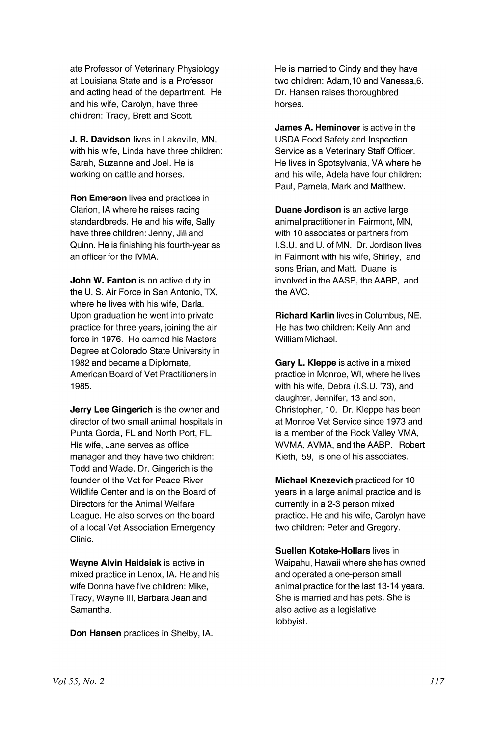ate Professor of Veterinary Physiology at Louisiana State and is a Professor and acting head of the department. He and his wife, Carolyn, have three children: Tracy, Brett and Scott.

**J. R. Davidson** lives in Lakeville, MN, with his wife, Linda have three children: Sarah, Suzanne and Joel. He is working on cattle and horses.

**Ron Emerson** lives and practices in Clarion, IA where he raises racing standardbreds. He and his wife, Sally have three children: Jenny, Jill and Quinn. He is finishing his fourth-year as an officer for the IVMA.

**John W. Fanton** is on active duty in the U. S. Air Force in San Antonio, TX, where he lives with his wife, Darla. Upon graduation he went into private practice for three years, joining the air force in 1976. He earned his Masters Degree at Colorado State University in 1982 and became a Diplomate, American Board of Vet Practitioners in 1985.

**Jerry Lee Gingerich** is the owner and director of two small animal hospitals in Punta Gorda, FL and North Port, FL. His wife, Jane serves as office manager and they have two children: Todd and Wade. Dr. Gingerich is the founder of the Vet for Peace River Wildlife Center and is on the Board of Directors for the Animal Welfare League. He also serves on the board of a local Vet Association Emergency Clinic.

**Wayne Alvin Haidsiak** is active in mixed practice in Lenox, IA. He and his wife Donna have five children: Mike, Tracy, Wayne III, Barbara Jean and Samantha.

**Don Hansen** practices in Shelby, IA.

He is married to Cindy and they have two children: Adam, 10 and Vanessa.6. Dr. Hansen raises thoroughbred horses.

**James A. Heminover** is active in the USDA Food Safety and Inspection Service as a Veterinary Staff Officer. He lives in Spotsylvania, VA where he and his wife, Adela have four children: Paul, Pamela, Mark and Matthew.

**Duane Jordison** is an active large animal practitioner in Fairmont, MN, with 10 associates or partners from I.S.U. and U. of MN. Dr. Jordison lives in Fairmont with his wife, Shirley, and sons Brian, and Matt. Duane is involved in the AASP, the AABP, and the AVC.

**Richard Karlin** lives in Columbus, NE. He has two children: Kelly Ann and William Michael.

**Gary L. Kleppe** is active in a mixed practice in Monroe, WI, where he lives with his wife, Debra (I.S.U. '73), and daughter, Jennifer, 13 and son, Christopher, 10. Dr. Kleppe has been at Monroe Vet Service since 1973 and is a member of the Rock Valley VMA, WVMA, AVMA, and the AABP. Robert Kieth, '59, is one of his associates.

**Michael Knezevich** practiced for 10 years in a large animal practice and is currently in a 2-3 person mixed practice. He and his wife, Carolyn have two children: Peter and Gregory.

**Suellen Kotake-Hollars** lives in Waipahu, Hawaii where she has owned and operated a one-person small animal practice for the last 13-14 years. She is married and has pets. She is also active as a legislative lobbyist.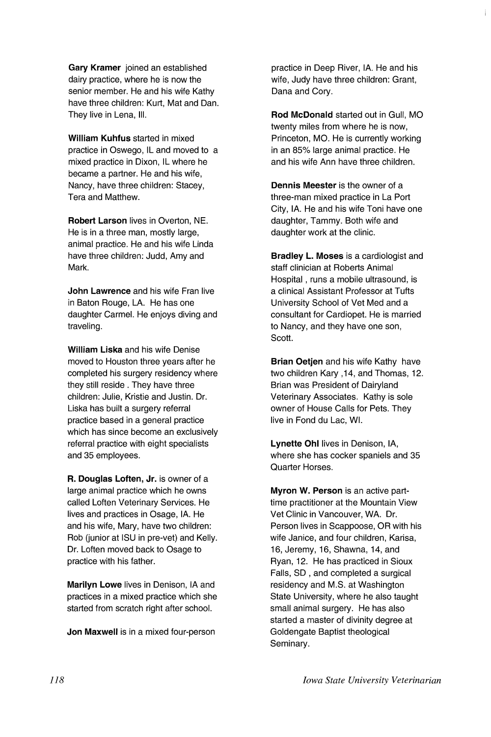Gary Kramer joined an established dairy practice, where he is now the senior member. He and his wife Kathy have three children: Kurt, Mat and Dan. They live in Lena, III.

William Kuhfus started in mixed practice in Oswego, IL and moved to a mixed practice in Dixon, IL where he became a partner. He and his wife, Nancy, have three children: Stacey, Tera and Matthew.

Robert Larson lives in Overton, NE. He is in a three man, mostly large, animal practice. He and his wife Linda have three children: Judd, Amy and Mark.

John Lawrence and his wife Fran live in Baton Rouge, LA. He has one daughter Carmel. He enjoys diving and traveling.

William Liska and his wife Denise moved to Houston three years after he completed his surgery residency where they still reside. They have three children: Julie, Kristie and Justin. Dr. Liska has built a surgery referral practice based in a general practice which has since become an exclusively referral practice with eight specialists and 35 employees.

R. Douglas Loften, Jr. is owner of a large animal practice which he owns called Loften Veterinary Services. He lives and practices in Osage, IA. He and his wife, Mary, have two children: Rob (junior at ISU in pre-vet) and Kelly. Dr. Loften moved back to Osage to practice with his father.

Marilyn Lowe lives in Denison, IA and practices in a mixed practice which she started from scratch right after school.

Jon Maxwell is in a mixed four-person

practice in Deep River, IA. He and his wife, Judy have three children: Grant, Dana and Cory.

Rod McDonald started out in Gull, MO twenty miles from where he is now. Princeton, MO. He is currently working in an 85% large animal practice. He and his wife Ann have three children.

Dennis Meester is the owner of a three-man mixed practice in La Port City, IA. He and his wife Toni have one daughter, Tammy. Both wife and daughter work at the clinic.

Bradley L. Moses is a cardiologist and staff clinician at Roberts Animal Hospital, runs a mobile ultrasound, is a clinical Assistant Professor at Tufts University School of Vet Med and a consultant for Cardiopet. He is married to Nancy, and they have one son, Scott.

Brian Oetjen and his wife Kathy have two children Kary ,14, and Thomas, 12. Brian was President of Dairyland Veterinary Associates. Kathy is sole owner of House Calls for Pets. They live in Fond du Lac, WI.

Lynette Ohl lives in Denison, lA, where she has cocker spaniels and 35 Quarter Horses.

Myron W. Person is an active parttime practitioner at the Mountain View Vet Clinic in Vancouver, WA. Dr. Person lives in Scappoose, OR with his wife Janice, and four children, Karisa, 16, Jeremy, 16, Shawna, 14, and Ryan, 12. He has practiced in Sioux Falls, SD , and completed a surgical residency and M.S. at Washington State University, where he also taught small animal surgery. He has also started a master of divinity degree at Goldengate Baptist theological Seminary.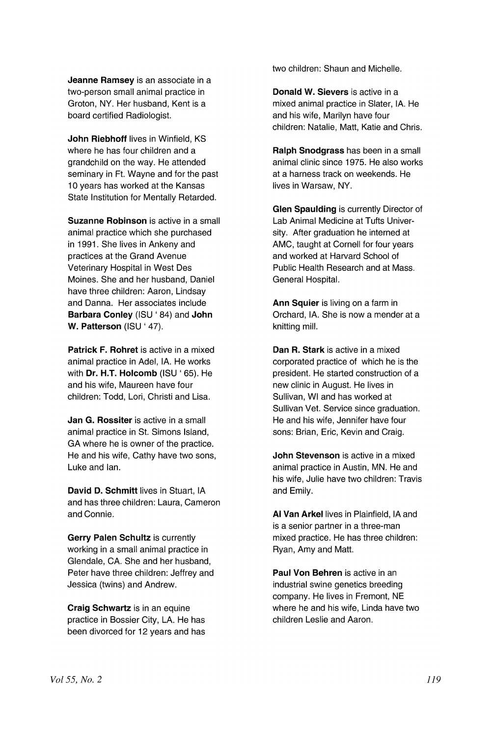Jeanne Ramsey is an associate in a two-person small animal practice in Groton, NY. Her husband, Kent is a board certified Radiologist.

John Riebhoff lives in Winfield, KS where he has four children and a grandchild on the way. He attended seminary in Ft. Wayne and for the past 10 years has worked at the Kansas State Institution for Mentally Retarded.

Suzanne Robinson is active in a small animal practice which she purchased in 1991. She lives in Ankeny and practices at the Grand Avenue Veterinary Hospital in West Des Moines. She and her husband, Daniel have three children: Aaron, Lindsay and Danna. Her associates include Barbara Conley (ISU ' 84) and John W. Patterson (ISU ' 47).

Patrick F. Rohret is active in a mixed animal practice in Adel, IA. He works with **Dr. H.T. Holcomb** (ISU '65). He and his wife, Maureen have four children: Todd, Lori, Christi and Lisa.

Jan G. Rossiter is active in a small animal practice in St. Simons Island, GA where he is owner of the practice. He and his wife, Cathy have two sons, Luke and Ian.

David D. Schmitt lives in Stuart, IA and has three children: Laura, Cameron and Connie.

Gerry Palen Schultz is currently working in a small animal practice in Glendale, CA. She and her husband, Peter have three children: Jeffrey and Jessica (twins) and Andrew.

Craig Schwartz is in an equine practice in Bossier City, LA. He has been divorced for 12 years and has two children: Shaun and Michelle.

Donald W. Sievers is active in a mixed animal practice in Slater, IA. He and his wife, Marilyn have four children: Natalie, Matt, Katie and Chris.

Ralph Snodgrass has been in a small animal clinic since 1975. He also works at a harness track on weekends. He lives in Warsaw, NY.

Glen Spaulding is currently Director of Lab Animal Medicine at Tufts University. After graduation he interned at AMC, taught at Cornell for four years and worked at Harvard School of Public Health Research and at Mass. General Hospital.

Ann Squier is living on a farm in Orchard, IA. She is now a mender at a knitting mill.

Dan R. Stark is active in a mixed corporated practice of which he is the president. He started construction of a new clinic in August. He lives in Sullivan, WI and has worked at Sullivan Vet. Service since graduation. He and his wife, Jennifer have four sons: Brian, Eric, Kevin and Craig.

John Stevenson is active in a mixed animal practice in Austin, MN. He and his wife, Julie have two children: Travis and Emily.

AI Van Arkel lives in Plainfield, IA and is a senior partner in a three-man mixed practice. He has three children: Ryan, Amy and Matt.

Paul Von Behren is active in an industrial swine genetics breeding company. He lives in Fremont, NE where he and his wife, Linda have two children Leslie and Aaron.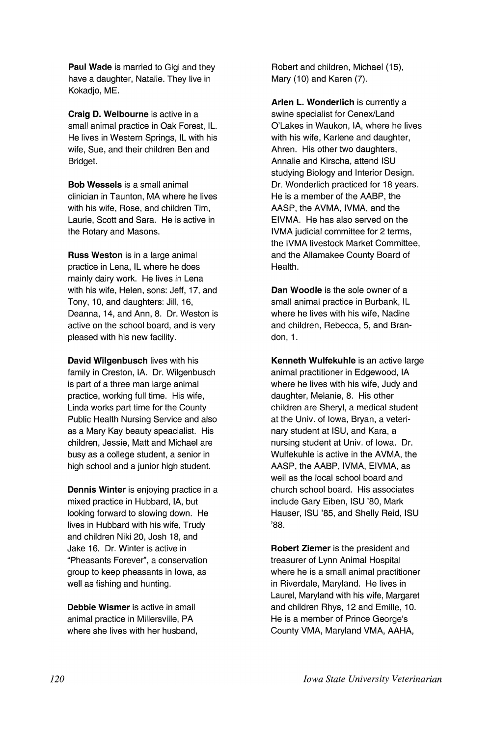Paul Wade is married to Gigi and they have a daughter, Natalie. They live in Kokadjo, ME.

Craig D. Weibourne is active in a small animal practice in Oak Forest, IL. He lives in Western Springs, IL with his wife, Sue, and their children Ben and Bridget.

Bob Wessels is a small animal clinician in Taunton, MA where he lives with his wife, Rose, and children Tim, Laurie, Scott and Sara. He is active in the Rotary and Masons.

Russ Weston is in a large animal practice in Lena, IL where he does mainly dairy work. He lives in Lena with his wife, Helen, sons: Jeff, 17, and Tony, 10, and daughters: Jill, 16, Deanna, 14, and Ann, 8. Dr. Weston is active on the school board, and is very pleased with his new facility.

David Wilgenbusch lives with his family in Creston, IA. Dr. Wilgenbusch is part of a three man large animal practice, working full time. His wife, Linda works part time for the County Public Health Nursing Service and also as a Mary Kay beauty speacialist. His children, Jessie, Matt and Michael are busy as a college student, a senior in high school and a junior high student.

Dennis Winter is enjoying practice in a mixed practice in Hubbard, lA, but looking forward to slowing down. He lives in Hubbard with his wife, Trudy and children Niki 20, Josh 18, and Jake 16. Dr. Winter is active in "Pheasants Forever", a conservation group to keep pheasants in Iowa, as well as fishing and hunting.

Debbie Wismer is active in small animal practice in Millersville, PA where she lives with her husband,

Robert and children, Michael (15), Mary (10) and Karen (7).

Arlen L. Wonderlich is currently a swine specialist for Cenex/Land O'Lakes in Waukon, lA, where he lives with his wife, Karlene and daughter, Ahren. His other two daughters, Annalie and Kirscha, attend ISU studying Biology and Interior Design. Dr. Wonderlich practiced for 18 years. He is a member of the AABP, the AASP, the AVMA, IVMA, and the EIVMA. He has also served on the IVMA judicial committee for 2 terms, the IVMA livestock Market Committee, and the Allamakee County Board of Health.

Dan Woodle is the sole owner of a small animal practice in Burbank, IL where he lives with his wife, Nadine and children, Rebecca, 5, and Brandon, 1.

Kenneth Wulfekuhle is an active large animal practitioner in Edgewood, IA where he lives with his wife, Judy and daughter, Melanie, 8. His other children are Sheryl, a medical student at the Univ. of Iowa, Bryan, a veterinary student at ISU, and Kara, a nursing student at Univ. of Iowa. Dr. Wulfekuhle is active in the AVMA, the AASP, the AABP, IVMA, EIVMA, as well as the local school board and church school board. His associates include Gary Eiben, ISU '80, Mark Hauser, ISU '85, and Shelly Reid, ISU '88.

Robert Ziemer is the president and treasurer of Lynn Animal Hospital where he is a small animal practitioner in Riverdale, Maryland. He lives in Laurel, Maryland with his wife, Margaret and children Rhys, 12 and Emilie, 10. He is a member of Prince George's County VMA, Maryland VMA, AAHA,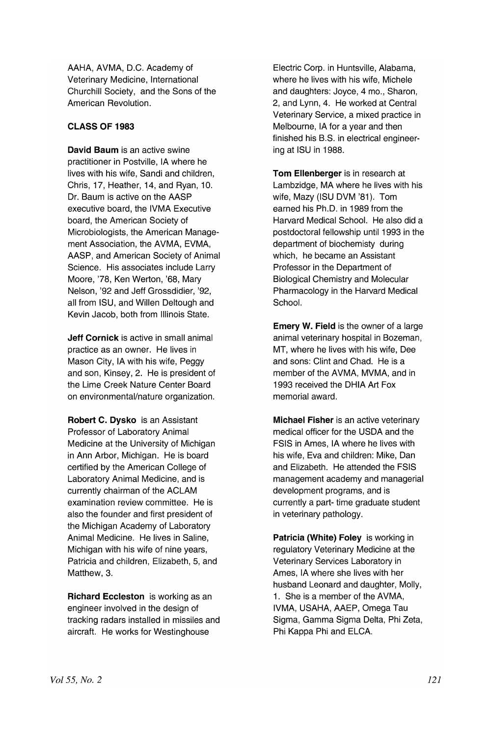AAHA, AVMA, D.C. Academy of Veterinary Medicine, International Churchill Society, and the Sons of the American Revolution.

## **CLASS OF 1983**

**David Baum** is an active swine practitioner in Postville, IA where he lives with his wife, Sandi and children, Chris, 17, Heather, 14, and Ryan, 10. Dr. Baum is active on the AASP executive board, the IVMA Executive board, the American Society of Microbiologists, the American Management Association, the AVMA, EVMA, AASP, and American Society of Animal Science. His associates include Larry Moore, '78, Ken Werton, '68, Mary Nelson, '92 and Jeff Grossdidier, '92, all from ISU, and Willen Deltough and Kevin Jacob, both from Illinois State.

**Jeff Cornick** is active in small animal practice as an owner. He lives in Mason City, IA with his wife, Peggy and son, Kinsey, 2. He is president of the Lime Creek Nature Center Board on environmental/nature organization.

**Robert C. Dysko** is an Assistant Professor of Laboratory Animal Medicine at the University of Michigan in Ann Arbor, Michigan. He is board certified by the American College of Laboratory Animal Medicine, and is currently chairman of the ACLAM examination review committee. He is also the founder and first president of the Michigan Academy of Laboratory Animal Medicine. He lives in Saline, Michigan with his wife of nine years, Patricia and children, Elizabeth, 5, and Matthew, 3.

**Richard Eccleston** is working as an engineer involved in the design of tracking radars installed in missiles and aircraft. He works for Westinghouse

Electric Corp. in Huntsville, Alabama, where he lives with his wife, Michele and daughters: Joyce, 4 mo., Sharon, 2, and Lynn, 4. He worked at Central Veterinary Service, a mixed practice in Melbourne, IA for a year and then finished his B.S. in electrical engineering at ISU in 1988.

**Tom Ellenberger** is in research at Lambzidge, MA where he lives with his wife, Mazy (ISU DVM '81). Tom earned his Ph.D. in 1989 from the Harvard Medical School. He also did a postdoctoral fellowship until 1993 in the department of biochemisty during which, he became an Assistant Professor in the Department of Biological Chemistry and Molecular Pharmacology in the Harvard Medical School.

**Emery W. Field** is the owner of a large animal veterinary hospital in Bozeman, MT, where he lives with his wife, Dee and sons: Clint and Chad. He is a member of the AVMA, MVMA, and in 1993 received the DHIA Art Fox memorial award.

**Michael Fisher** is an active veterinary medical officer for the USDA and the FSIS in Ames, IA where he lives with his wife, Eva and children: Mike, Dan and Elizabeth. He attended the FSIS management academy and managerial development programs, and is currently a part- time graduate student in veterinary pathology.

**Patricia (White) Foley** is working in regulatory Veterinary Medicine at the Veterinary Services Laboratory in Ames, IA where she lives with her husband Leonard and daughter, Molly, 1. She is a member of the AVMA, IVMA, USAHA, AAEP, Omega Tau Sigma, Gamma Sigma Delta, Phi Zeta, Phi Kappa Phi and ELCA.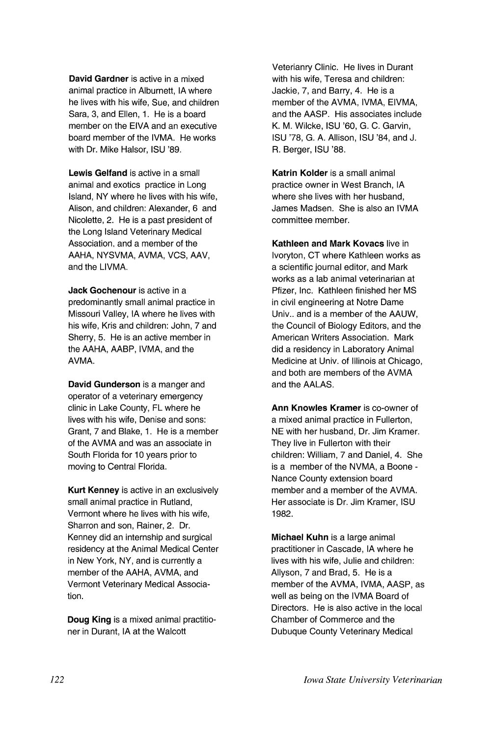**David Gardner** is active in a mixed animal practice in Alburnett, IA where he lives with his wife, Sue, and children Sara, 3, and Ellen, 1. He is a board member on the ElVA and an executive board member of the IVMA. He works with Dr. Mike Halsor, ISU '89.

**Lewis Gelfand** is active in a small animal and exotics practice in Long Island, NY where he lives with his wife, Alison, and children: Alexander, 6 and Nicolette, 2. He is a past president of the Long Island Veterinary Medical Association. and a member of the AAHA, NYSVMA, AVMA, VCS, AAV, and the LIVMA.

**Jack Gochenour** is active in a predominantly small animal practice in Missouri Valley, IA where he lives with his wife, Kris and children: John, 7 and Sherry, 5. He is an active member in the AAHA, AABP, IVMA, and the AVMA.

**David Gunderson** is a manger and operator of a veterinary emergency clinic in Lake County, FL where he lives with his wife, Denise and sons: Grant, 7 and Blake, 1. He is a member of the AVMA and was an associate in South Florida for 10 years prior to moving to Central Florida.

**Kurt Kenney** is active in an exclusively small animal practice in Rutland, Vermont where he lives with his wife, Sharron and son, Rainer, 2. Dr. Kenney did an internship and surgical residency at the Animal Medical Center in New York, NY, and is currently a member of the AAHA, AVMA, and Vermont Veterinary Medical Association.

**Doug King** is a mixed animal practitioner in Durant, IA at the Walcott

Veterianry Clinic. He lives in Durant with his wife, Teresa and children: Jackie, 7, and Barry, 4. He is a member of the AVMA, IVMA, EIVMA, and the AASP. His associates include K. M. Wilcke, ISU '60, G. C. Garvin, ISU '78, G. A. Allison, ISU '84, and J. R. Berger, ISU '88.

**Katrin Kolder** is a small animal practice owner in West Branch, IA where she lives with her husband, James Madsen. She is also an IVMA committee member.

**Kathleen and Mark Kovacs** live in Ivoryton, CT where Kathleen works as a scientific journal editor, and Mark works as a lab animal veterinarian at Pfizer, Inc. Kathleen finished her MS in civil engineering at Notre Dame Univ.. and is a member of the AAUW, the Council of Biology Editors, and the American Writers Association. Mark did a residency in Laboratory Animal Medicine at Univ. of Illinois at Chicago, and both are members of the AVMA and the AALAS.

**Ann Knowles Kramer** is co-owner of a mixed animal practice in Fullerton, NE with her husband, Dr. Jim Kramer. They live in Fullerton with their children: William, 7 and Daniel, 4. She is a member of the NVMA, a Boone - Nance County extension board member and a member of the AVMA. Her associate is Dr. Jim Kramer, ISU 1982.

**Michael Kuhn** is a large animal practitioner in Cascade, IA where he lives with his wife, Julie and children: Allyson, 7 and Brad, 5. He is a member of the AVMA, IVMA, AASP, as well as being on the IVMA Board of Directors. He is also active in the local Chamber of Commerce and the Dubuque County Veterinary Medical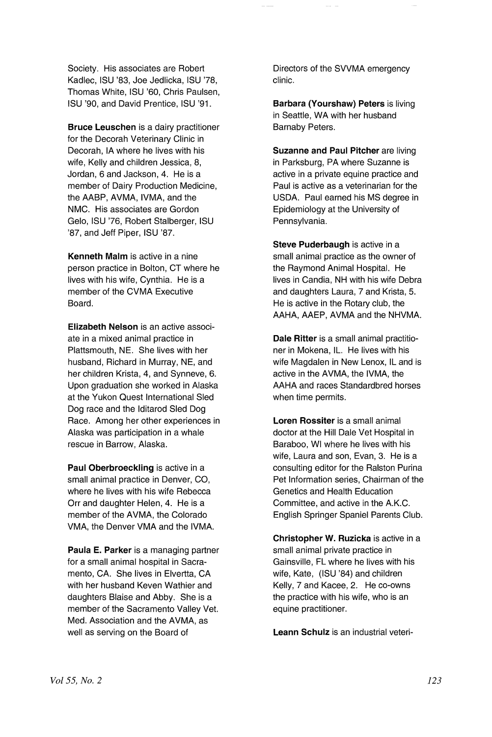Society. His associates are Robert Kadlec, ISU '83, Joe Jedlicka, ISU '78, Thomas White, ISU '60, Chris Paulsen, ISU '90, and David Prentice, ISU '91 .

Bruce Leuschen is a dairy practitioner for the Decorah Veterinary Clinic in Decorah, IA where he lives with his wife, Kelly and children Jessica, 8, Jordan, 6 and Jackson, 4. He is a member of Dairy Production Medicine, the AABP, AVMA, IVMA, and the NMC. His associates are Gordon Gelo, ISU '76, Robert Stalberger, ISU '87, and Jeff Piper, ISU '87.

Kenneth Maim is active in a nine person practice in Bolton, CT where he lives with his wife, Cynthia. He is a member of the CVMA Executive Board.

Elizabeth Nelson is an active associate in a mixed animal practice in Plattsmouth, NE. She lives with her husband, Richard in Murray, NE, and her children Krista, 4, and Synneve, 6. Upon graduation she worked in Alaska at the Yukon Quest International Sled Dog race and the Iditarod Sled Dog Race. Among her other experiences in Alaska was participation in a whale rescue in Barrow, Alaska.

Paul Oberbroeckling is active in a small animal practice in Denver, CO, where he lives with his wife Rebecca Orr and daughter Helen, 4. He is a member of the AVMA, the Colorado VMA, the Denver VMA and the IVMA.

Paula E. Parker is a managing partner for a small animal hospital in Sacramento, CA. She lives in Elvertta, CA with her husband Keven Wathier and daughters Blaise and Abby. She is a member of the Sacramento Valley Vet. Med. Association and the AVMA, as well as serving on the Board of

Directors of the SVVMA emergency clinic.

Barbara (Yourshaw) Peters is living in Seattle, WA with her husband Barnaby Peters.

Suzanne and Paul Pitcher are living in Parksburg, PA where Suzanne is active in a private equine practice and Paul is active as a veterinarian for the USDA. Paul earned his MS degree in Epidemiology at the University of Pennsylvania.

Steve Puderbaugh is active in a small animal practice as the owner of the Raymond Animal Hospital. He lives in Candia, NH with his wife Debra and daughters Laura, 7 and Krista, 5. He is active in the Rotary club, the AAHA, AAEP, AVMA and the NHVMA.

Dale Ritter is a small animal practitioner in Mokena, IL. He lives with his wife Magdalen in New Lenox, IL and is active in the AVMA, the IVMA, the AAHA and races Standardbred horses when time permits.

Loren Rossiter is a small animal doctor at the Hill Dale Vet Hospital in Baraboo, WI where he lives with his wife, Laura and son, Evan, 3. He is a consulting editor for the Ralston Purina Pet Information series, Chairman of the Genetics and Health Education Committee, and active in the A.K.C. English Springer Spaniel Parents Club.

Christopher W. Ruzicka is active in a small animal private practice in Gainsville, FL where he lives with his wife, Kate, (ISU '84) and children Kelly, 7 and Kacee, 2. He co-owns the practice with his wife, who is an equine practitioner.

Leann Schulz is an industrial veteri-